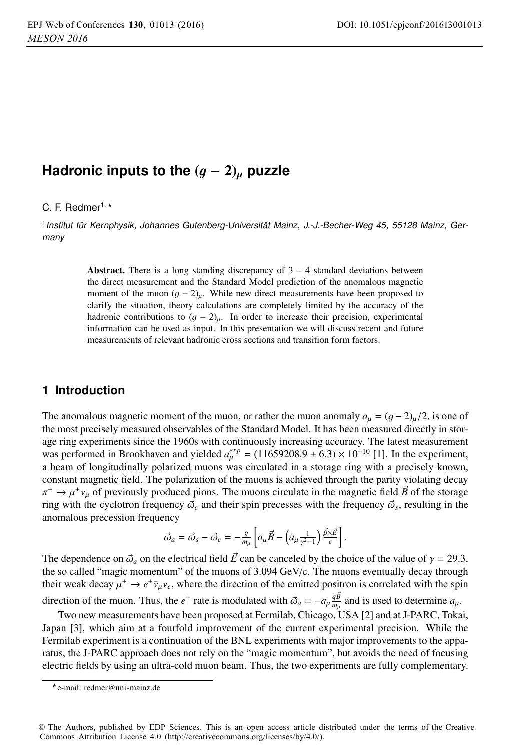# **Hadronic inputs to the**  $(g - 2)$ <sub>u</sub> puzzle

## C. F. Redmer<sup>1,\*</sup>

<sup>1</sup> Institut für Kernphysik, Johannes Gutenberg-Universität Mainz, J.-J.-Becher-Weg 45, 55128 Mainz, Ger-Institut für Kernphysik, Johannes Gutenberg-Universität Mainz, J.-J.-Becher-Weg 45, 55128 Mainz, Germany

> Abstract. There is a long standing discrepancy of  $3-4$  standard deviations between the direct measurement and the Standard Model prediction of the anomalous magnetic moment of the muon  $(g - 2)_{\mu}$ . While new direct measurements have been proposed to clarify the situation, theory calculations are completely limited by the accuracy of the hadronic contributions to  $(g - 2)_{\mu}$ . In order to increase their precision, experimental information can be used as input. In this presentation we will discuss recent and future measurements of relevant hadronic cross sections and transition form factors.

## **1 Introduction**

The anomalous magnetic moment of the muon, or rather the muon anomaly  $a_{\mu} = (g - 2)_{\mu}/2$ , is one of the most precisely measured observables of the Standard Model. It has been measured directly in storage ring experiments since the 1960s with continuously increasing accuracy. The latest measurement was performed in Brookhaven and yielded  $a_{\mu}^{exp} = (11659208.9 \pm 6.3) \times 10^{-10}$  [1]. In the experiment, a beam of longitudinally polarized muons was circulated in a storage ring with a precisely known, constant magnetic field. The polarization of the muons is achieved through the parity violating decay  $\pi^+ \rightarrow \mu^+ \nu_\mu$  of previously produced pions. The muons circulate in the magnetic field  $\vec{B}$  of the storage ring with the cyclotron frequency  $\vec{\omega}_c$  and their spin precesses with the frequency  $\vec{\omega}_s$ , resulting in the anomalous precession frequency

$$
\vec{\omega}_a = \vec{\omega}_s - \vec{\omega}_c = -\frac{q}{m_\mu} \left[ a_\mu \vec{B} - \left( a_\mu \frac{1}{\gamma^2 - 1} \right) \frac{\vec{\beta} \times \vec{E}}{c} \right]
$$

The dependence on  $\vec{\omega}_a$  on the electrical field  $\vec{E}$  can be canceled by the choice of the value of  $\gamma = 29.3$ , the so called "magic momentum" of the muons of 3.094 GeV/c. The muons eventually decay through their weak decay  $\mu^+ \to e^+ \bar{\nu}_\mu \nu_e$ , where the direction of the emitted positron is correlated with the spin direction of the muon. Thus, the *e*<sup>+</sup> rate is modulated with  $\vec{\omega}_a = -a_\mu \frac{q \vec{B}}{m_\mu}$  and is used to determine  $a_\mu$ .

Two new measurements have been proposed at Fermilab, Chicago, USA [2] and at J-PARC, Tokai, Japan [3], which aim at a fourfold improvement of the current experimental precision. While the Fermilab experiment is a continuation of the BNL experiments with major improvements to the apparatus, the J-PARC approach does not rely on the "magic momentum", but avoids the need of focusing electric fields by using an ultra-cold muon beam. Thus, the two experiments are fully complementary.

<sup>-</sup>e-mail: redmer@uni-mainz.de

<sup>©</sup> The Authors, published by EDP Sciences. This is an open access article distributed under the terms of the Creative Commons Attribution License 4.0 (http://creativecommons.org/licenses/by/4.0/).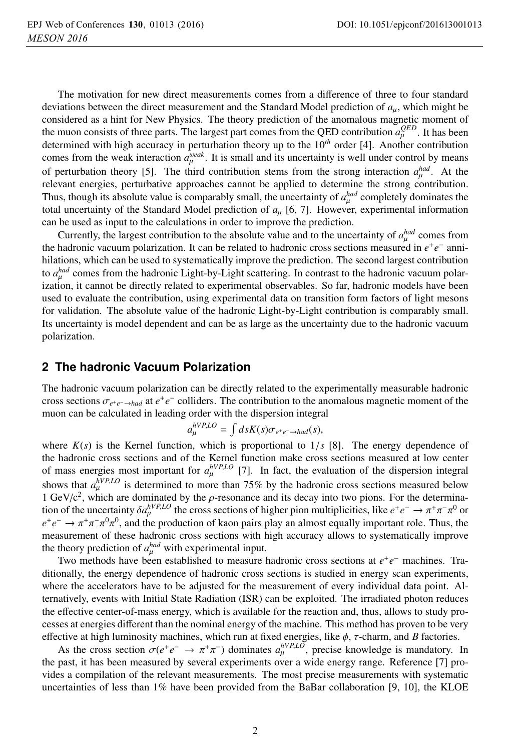The motivation for new direct measurements comes from a difference of three to four standard deviations between the direct measurement and the Standard Model prediction of  $a<sub>u</sub>$ , which might be considered as a hint for New Physics. The theory prediction of the anomalous magnetic moment of the muon consists of three parts. The largest part comes from the QED contribution  $a_{\mu}^{QED}$ . It has been<br>determined with high accuracy in perturbation theory up to the 10<sup>th</sup> order [4]. Another contribution determined with high accuracy in perturbation theory up to the 10*th* order [4]. Another contribution comes from the weak interaction  $a_{\mu}^{weak}$ . It is small and its uncertainty is well under control by means of perturbation theory [5]. The third contribution stems from the strong interaction  $\alpha^{\text{had}}$ . At the of perturbation theory [5]. The third contribution stems from the strong interaction  $a_{\mu}^{had}$ . At the relevant energies perturbative approaches cannot be applied to determine the strong contribution relevant energies, perturbative approaches cannot be applied to determine the strong contribution. Thus, though its absolute value is comparably small, the uncertainty of  $a_{\mu}^{had}$  completely dominates the total uncertainty of the Standard Model prediction of  $a_{\mu}$  is  $\overline{a}$ . However, experimental information total uncertainty of the Standard Model prediction of *<sup>a</sup>*μ [6, 7]. However, experimental information can be used as input to the calculations in order to improve the prediction.

Currently, the largest contribution to the absolute value and to the uncertainty of  $a_{\mu}^{had}$  comes from hadronic vacuum polarization. It can be related to hadronic cross sections measured in  $e^+e^-$  anni the hadronic vacuum polarization. It can be related to hadronic cross sections measured in *e*+*e*<sup>−</sup> annihilations, which can be used to systematically improve the prediction. The second largest contribution to *a<sub>had</sub>* comes from the hadronic Light-by-Light scattering. In contrast to the hadronic vacuum polar-<br>ization, it cannot be directly related to experimental observables. So far, hadronic models have been ization, it cannot be directly related to experimental observables. So far, hadronic models have been used to evaluate the contribution, using experimental data on transition form factors of light mesons for validation. The absolute value of the hadronic Light-by-Light contribution is comparably small. Its uncertainty is model dependent and can be as large as the uncertainty due to the hadronic vacuum polarization.

#### **2 The hadronic Vacuum Polarization**

The hadronic vacuum polarization can be directly related to the experimentally measurable hadronic cross sections  $\sigma_{e^+e^- \to had}$  at  $e^+e^-$  colliders. The contribution to the anomalous magnetic moment of the muon can be calculated in leading order with the dispersion integral

$$
a_{\mu}^{hVP,LO} = \int ds K(s) \sigma_{e^+e^- \to had}(s),
$$

where  $K(s)$  is the Kernel function, which is proportional to  $1/s$  [8]. The energy dependence of the hadronic cross sections and of the Kernel function make cross sections measured at low center the hadronic cross sections and of the Kernel function make cross sections measured at low center of mass energies most important for  $a_{\mu}^{hVP,LO}$  [7]. In fact, the evaluation of the dispersion integral shows that  $a_{\mu}^{\bar{N}P,LO}$  is determined to more than 75% by the hadronic cross sections measured below 1 GeV/ $c^2$ , which are dominated by the  $\rho$ -resonance and its decay into two pions. For the determination of the uncertainty  $\delta a_{\mu}^{hVP,LO}$  the cross sections of higher pion multiplicities, like  $e^+e^- \to \pi^+\pi^-\pi^0$  or  $e^+e^- \to \pi^+\pi^-\pi^0\pi^0$  and the production of kaon pairs play an almost equally important role. Thus, t *e*<sup>+</sup>*e*<sup>−</sup> →  $\pi$ <sup>+</sup> $\pi$ <sup>−</sup> $\pi$ <sup>0</sup> $\pi$ <sup>0</sup>, and the production of kaon pairs play an almost equally important role. Thus, the measurement of these hadronic cross sections with high accuracy allows to systematically improve the theory prediction of  $a_{\mu}^{had}$  with experimental input.<br>Two methods have been established to measure

Two methods have been established to measure hadronic cross sections at *e*+*e*<sup>−</sup> machines. Traditionally, the energy dependence of hadronic cross sections is studied in energy scan experiments, where the accelerators have to be adjusted for the measurement of every individual data point. Alternatively, events with Initial State Radiation (ISR) can be exploited. The irradiated photon reduces the effective center-of-mass energy, which is available for the reaction and, thus, allows to study processes at energies different than the nominal energy of the machine. This method has proven to be very effective at high luminosity machines, which run at fixed energies, like  $\phi$ ,  $\tau$ -charm, and *B* factories.

As the cross section  $\sigma(e^+e^- \to \pi^+\pi^-)$  dominates  $a_{\mu}^{hVP, LO}$ , precise knowledge is mandatory. In past it has been measured by several experiments over a wide energy range. Reference [7] prothe past, it has been measured by several experiments over a wide energy range. Reference [7] provides a compilation of the relevant measurements. The most precise measurements with systematic uncertainties of less than 1% have been provided from the BaBar collaboration [9, 10], the KLOE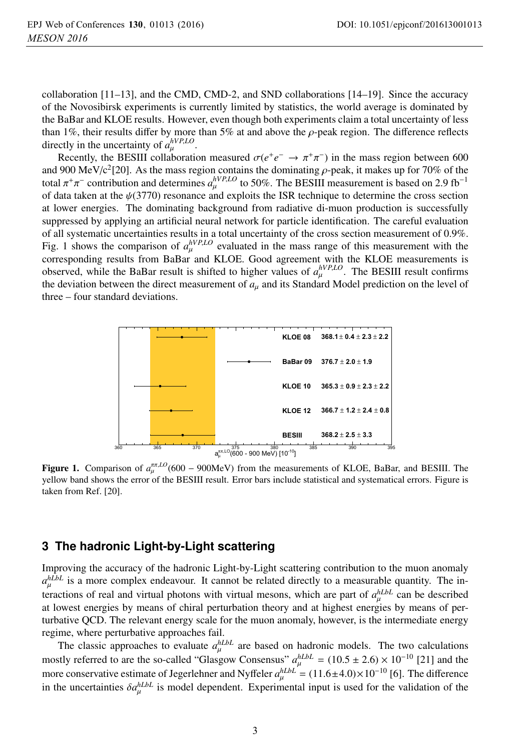collaboration [11–13], and the CMD, CMD-2, and SND collaborations [14–19]. Since the accuracy of the Novosibirsk experiments is currently limited by statistics, the world average is dominated by the BaBar and KLOE results. However, even though both experiments claim a total uncertainty of less than 1%, their results differ by more than 5% at and above the  $\rho$ -peak region. The difference reflects directly in the uncertainty of  $a_{\mu}^{hVP,LO}$ .<br>Pecently, the **RESIII** colleboration

Recently, the BESIII collaboration measured  $\sigma(e^+e^- \to \pi^+\pi^-)$  in the mass region between 600 and 900 MeV/c<sup>2</sup>[20]. As the mass region contains the dominating  $\rho$ -peak, it makes up for 70% of the total  $\pi^+\pi^-$  contribution and determines  $a_\mu^{hVP,LO}$  to 50%. The BESIII measurement is based on 2.9 fb<sup>-1</sup><br>of data taken at the  $h(3770)$  resonance and exploits the ISR technique to determine the cross section of data taken at the  $\psi(3770)$  resonance and exploits the ISR technique to determine the cross section at lower energies. The dominating background from radiative di-muon production is successfully suppressed by applying an artificial neural network for particle identification. The careful evaluation of all systematic uncertainties results in a total uncertainty of the cross section measurement of 0.9%. Fig. 1 shows the comparison of  $a_{\mu}^{hVP,LO}$  evaluated in the mass range of this measurement with the corresponding results from BoBox and KLOE Good agreement with the KLOE measurements is corresponding results from BaBar and KLOE. Good agreement with the KLOE measurements is observed, while the BaBar result is shifted to higher values of  $a_{\mu}^{hVP,LO}$ . The BESIII result confirms the deviation between the direct measurement of *a*, and its Standard Model prediction on the level of the deviation between the direct measurement of *<sup>a</sup>*μ and its Standard Model prediction on the level of three – four standard deviations.



Figure 1. Comparison of  $a_u^{\pi\pi,LO}$ (600 – 900MeV) from the measurements of KLOE, BaBar, and BESIII. The yellow band shows the error of the BESIII result. Error bars include statistical and systematical errors. Figure is taken from Ref. [20].

## **3 The hadronic Light-by-Light scattering**

Improving the accuracy of the hadronic Light-by-Light scattering contribution to the muon anomaly  $a_{\mu\nu}^{h\hat{L}bL}$  is a more complex endeavour. It cannot be related directly to a measurable quantity. The interactions of real and virtual photons with virtual mesons, which are part of  $a_{\mu}^{h_Lb_L}$  can be described<br>at lowest energies by means of chiral perturbation theory and at highest energies by means of per at lowest energies by means of chiral perturbation theory and at highest energies by means of perturbative QCD. The relevant energy scale for the muon anomaly, however, is the intermediate energy regime, where perturbative approaches fail.

The classic approaches to evaluate  $a_{\mu}^{hLbL}$  are based on hadronic models. The two calculations The classic approaches to evaluate  $a_{\mu}^{h_Lb_L}$  are based on hadronic models. The two calculations<br>mostly referred to are the so-called "Glasgow Consensus"  $a_{\mu}^{h_Lb_L} = (10.5 \pm 2.6) \times 10^{-10}$  [21] and the<br>more conservati more conservative estimate of Jegerlehner and Nyffeler  $a_{\mu}^{h_Lb_L} = (11.6 \pm 4.0) \times 10^{-10}$  [6]. The difference<br>in the uncertainties *Salible* is model dependent. Experimental input is used for the validation of the in the uncertainties  $\delta a_\mu^{hLbL}$  is model dependent. Experimental input is used for the validation of the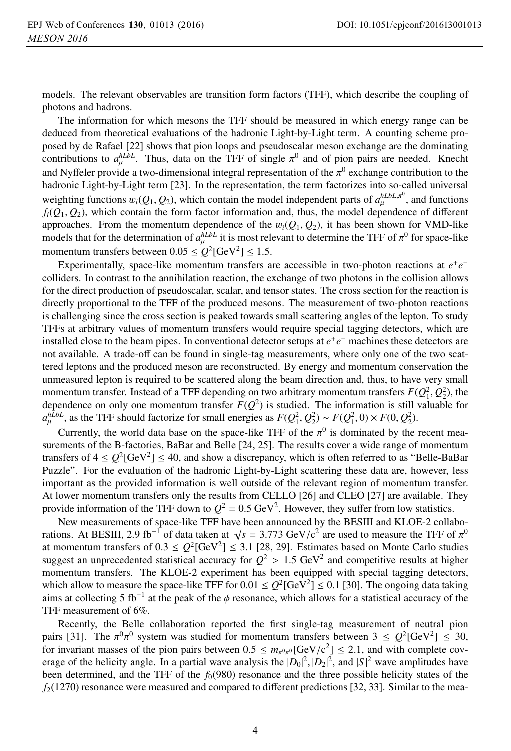models. The relevant observables are transition form factors (TFF), which describe the coupling of photons and hadrons.

The information for which mesons the TFF should be measured in which energy range can be deduced from theoretical evaluations of the hadronic Light-by-Light term. A counting scheme proposed by de Rafael [22] shows that pion loops and pseudoscalar meson exchange are the dominating contributions to  $a_{\mu}^{h\bar{L}b\bar{L}}$ . Thus, data on the TFF of single  $\pi^0$  and of pion pairs are needed. Knecht and Nyffeler provide a two-dimensional integral representation of the  $\pi^0$  exchange contribution to the hadronic Light-by-Light term [23]. In the representation, the term factorizes into so-called universal weighting functions  $w_i(Q_1, Q_2)$ , which contain the model independent parts of  $a_\mu^{hLbL,\pi^0}$ , and functions  $f(Q_1, Q_2)$  which contain the form factor information and thus the model dependence of different  $f_i(Q_1, Q_2)$ , which contain the form factor information and, thus, the model dependence of different approaches. From the momentum dependence of the  $w_i(Q_1, Q_2)$ , it has been shown for VMD-like models that for the determination of  $a_{\mu}^{\hat{\mu}LbL}$  it is most relevant to determine the TFF of  $\pi^0$  for space-like<br>momentum transfore between 0.05 <  $O^{2}L^{2}Ce^{3/2}$  < 1.5 momentum transfers between  $0.05 \le Q^2$ [GeV<sup>2</sup>]  $\le 1.5$ .

Experimentally, space-like momentum transfers are accessible in two-photon reactions at *e*+*e*<sup>−</sup> colliders. In contrast to the annihilation reaction, the exchange of two photons in the collision allows for the direct production of pseudoscalar, scalar, and tensor states. The cross section for the reaction is directly proportional to the TFF of the produced mesons. The measurement of two-photon reactions is challenging since the cross section is peaked towards small scattering angles of the lepton. To study TFFs at arbitrary values of momentum transfers would require special tagging detectors, which are installed close to the beam pipes. In conventional detector setups at *e*+*e*<sup>−</sup> machines these detectors are not available. A trade-off can be found in single-tag measurements, where only one of the two scattered leptons and the produced meson are reconstructed. By energy and momentum conservation the unmeasured lepton is required to be scattered along the beam direction and, thus, to have very small momentum transfer. Instead of a TFF depending on two arbitrary momentum transfers  $F(Q_1^2, Q_2^2)$ , the dependence on only one momentum transfer  $F(Q^2)$  is studied. The information is still valuable for dependence on only one momentum transfer  $F(Q^2)$  is studied. The information is still valuable for  $a_{\mu}^{h\bar{L}bL}$ , as the TFF should factorize for small energies as  $F(Q_1^2, Q_2^2) \sim F(Q_1^2, 0) \times F(0, Q_2^2)$ .

Currently, the world data base on the space-like TFF of the  $\pi^0$  is dominated by the recent measurements of the B-factories, BaBar and Belle [24, 25]. The results cover a wide range of momentum transfers of  $4 \le Q^2$ [GeV<sup>2</sup>]  $\le 40$ , and show a discrepancy, which is often referred to as "Belle-BaBar" Puzzle". For the evaluation of the hadronic Light-by-Light scattering these data are, however, less important as the provided information is well outside of the relevant region of momentum transfer. At lower momentum transfers only the results from CELLO [26] and CLEO [27] are available. They provide information of the TFF down to  $Q^2 = 0.5 \text{ GeV}^2$ . However, they suffer from low statistics.

New measurements of space-like TFF have been announced by the BESIII and KLOE-2 collaborations. At BESIII, 2.9 fb<sup>-1</sup> of data taken at  $\sqrt{s}$  = 3.773 GeV/c<sup>2</sup> are used to measure the TFF of  $\pi^0$ at momentum transfers of  $0.3 \le Q^2$ [GeV<sup>2</sup>]  $\le 3.1$  [28, 29]. Estimates based on Monte Carlo studies suggest an unprecedented statistical accuracy for  $Q^2 > 1.5 \text{ GeV}^2$  and competitive results at higher momentum transfers. The KLOE-2 experiment has been equipped with special tagging detectors, which allow to measure the space-like TFF for  $0.01 \leq Q^2$ [GeV<sup>2</sup>]  $\leq 0.1$  [30]. The ongoing data taking aims at collecting 5 fb<sup>-1</sup> at the peak of the  $\phi$  resonance, which allows for a statistical accuracy of the TFF measurement of 6%.

Recently, the Belle collaboration reported the first single-tag measurement of neutral pion pairs [31]. The  $\pi^0 \pi^0$  system was studied for momentum transfers between  $3 \leq Q^2$ [GeV<sup>2</sup>]  $\leq 30$ , for invariant masses of the pion pairs between  $0.5 \n\t\leq m_{\pi^0 \pi^0} [\text{GeV/c}^2] \leq 2.1$ , and with complete coverage of the helicity angle. In a partial wave analysis the  $|D_2|^2 |D_2|^2$  and  $|S|^2$  wave amplitudes have erage of the helicity angle. In a partial wave analysis the  $|D_0|^2$ ,  $|D_2|^2$ , and  $|S|^2$  wave amplitudes have<br>been determined, and the TEE of the  $f_2(980)$  resonance and the three possible helicity states of the been determined, and the TFF of the  $f<sub>0</sub>(980)$  resonance and the three possible helicity states of the  $f_2(1270)$  resonance were measured and compared to different predictions [32, 33]. Similar to the mea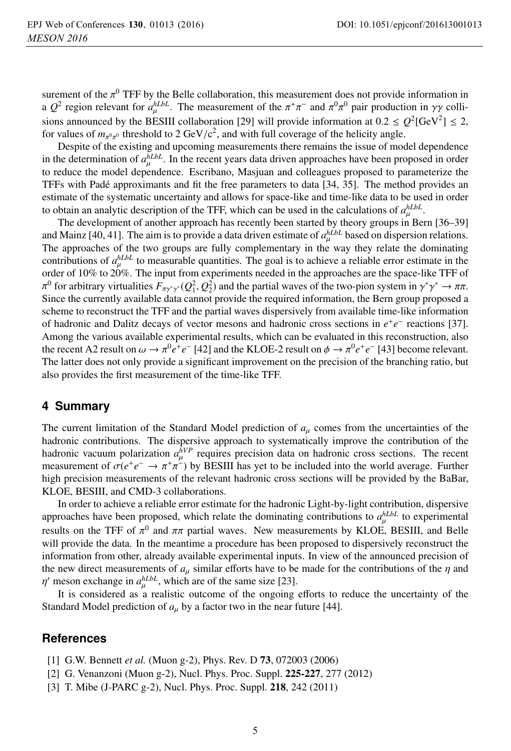surement of the  $\pi^0$  TFF by the Belle collaboration, this measurement does not provide information in a  $Q^2$  region relevant for  $a_{\mu}^{hLbL}$ . The measurement of the  $\pi^+\pi^-$  and  $\pi^0\pi^0$  pair production in  $\gamma\gamma$  collisions appearing the BESIII collisions in  $\gamma\gamma$  collisions appearing to  $\eta^2 \sim Q^2LGM^2$ sions announced by the BESIII collaboration [29] will provide information at  $0.2 \le Q^2[\text{GeV}^2] \le 2$ , for values of  $m_{\pi^0\pi^0}$  threshold to 2 GeV/c<sup>2</sup>, and with full coverage of the helicity angle.<br>Despite of the existing and uncoming measurements there remains the issue of model

Despite of the existing and upcoming measurements there remains the issue of model dependence in the determination of  $a_{\mu}^{n}$  . In the recent years data driven approaches have been proposed in order to reduce the model dependence. Escribano, Masjuan and colleagues proposed to parameterize the to reduce the model dependence. Escribano, Masjuan and colleagues proposed to parameterize the TFFs with Padé approximants and fit the free parameters to data [34, 35]. The method provides an estimate of the systematic uncertainty and allows for space-like and time-like data to be used in order to obtain an analytic description of the TFF, which can be used in the calculations of  $a_{\mu}^{\mu L b}$ .<br>The development of another approach has recently been started by theory groups in Ber

The development of another approach has recently been started by theory groups in Bern [36–39] and Mainz [40, 41]. The aim is to provide a data driven estimate of  $a_{\mu}^{h\hat{L}b}$  based on dispersion relations. The approaches of the two groups are fully complementary in the way they relate the dominating contributions of  $a_{\mu}^{hLbL}$  to measurable quantities. The goal is to achieve a reliable error estimate in the order of 10% to 20%. The input from experiments needed in the approaches are the space-like TEE of order of 10% to 20%. The input from experiments needed in the approaches are the space-like TFF of  $π<sup>0</sup>$  for arbitrary virtualities  $F_{πγ^*γ^*}(Q_1^2, Q_2^2)$  and the partial waves of the two-pion system in γ<sup>∗</sup>γ<sup>∗</sup> → ππ.<br>Since the currently available data cannot provide the required information, the Bern group pr Since the currently available data cannot provide the required information, the Bern group proposed a scheme to reconstruct the TFF and the partial waves dispersively from available time-like information of hadronic and Dalitz decays of vector mesons and hadronic cross sections in *e*+*e*<sup>−</sup> reactions [37]. Among the various available experimental results, which can be evaluated in this reconstruction, also the recent A2 result on  $\omega \to \pi^0 e^+e^-$  [42] and the KLOE-2 result on  $\phi \to \pi^0 e^+e^-$  [43] become relevant. The latter does not only provide a significant improvement on the precision of the branching ratio, but also provides the first measurement of the time-like TFF.

#### **4 Summary**

The current limitation of the Standard Model prediction of  $a_{\mu}$  comes from the uncertainties of the hadronic contributions. The dispersive approach to systematically improve the contribution of the hadronic vacuum polarization  $a_n^{hVP}$  requires precision data on hadronic cross sections. The recent<br>measurement of  $\sigma(e^+e^- \rightarrow \pi^+\pi^-)$  by BESIII has yet to be included into the world average. Further measurement of  $\sigma(e^+e^- \to \pi^+\pi^-)$  by BESIII has yet to be included into the world average. Further high precision measurements of the relevant hadronic cross sections will be provided by the BaBar, KLOE, BESIII, and CMD-3 collaborations.

In order to achieve a reliable error estimate for the hadronic Light-by-light contribution, dispersive approaches have been proposed, which relate the dominating contributions to  $a_{\mu}^{hLbL}$  to experimental<br>results on the TEE of  $\pi^0$  and  $\pi$  portial ways. Now measurements by *VLOE BESIH* and Balla results on the TFF of  $\pi^0$  and  $\pi\pi$  partial waves. New measurements by KLOE, BESIII, and Belle will provide the data. In the meantime a procedure has been proposed to dispersively reconstruct the information from other, already available experimental inputs. In view of the announced precision of the new direct measurements of  $a_\mu$  similar efforts have to be made for the contributions of the  $\eta$  and  $\eta'$  meson exchange in  $a_{\mu}^{hLbL}$ , which are of the same size [23].<br>It is considered as a realistic outcome of the ongoing

It is considered as a realistic outcome of the ongoing efforts to reduce the uncertainty of the Standard Model prediction of  $a_\mu$  by a factor two in the near future [44].

#### **References**

- [1] G.W. Bennett *et al.* (Muon g-2), Phys. Rev. D 73, 072003 (2006)
- [2] G. Venanzoni (Muon g-2), Nucl. Phys. Proc. Suppl. 225-227, 277 (2012)
- [3] T. Mibe (J-PARC g-2), Nucl. Phys. Proc. Suppl. 218, 242 (2011)